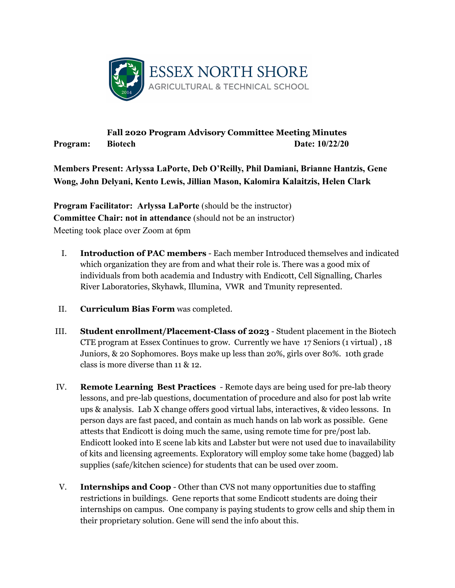

## **Fall 2020 Program Advisory Committee Meeting Minutes Program:** Biotech Date: 10/22/20

**Members Present: Arlyssa LaPorte, Deb O'Reilly, Phil Damiani, Brianne Hantzis, Gene Wong, John Delyani, Kento Lewis, Jillian Mason, Kalomira Kalaitzis, Helen Clark**

**Program Facilitator: Arlyssa LaPorte** (should be the instructor) **Committee Chair: not in attendance** (should not be an instructor) Meeting took place over Zoom at 6pm

- I. **Introduction of PAC members**  Each member Introduced themselves and indicated which organization they are from and what their role is. There was a good mix of individuals from both academia and Industry with Endicott, Cell Signalling, Charles River Laboratories, Skyhawk, Illumina, VWR and Tmunity represented.
- II. **Curriculum Bias Form** was completed.
- III. **Student enrollment/Placement-Class of 2023** Student placement in the Biotech CTE program at Essex Continues to grow. Currently we have 17 Seniors (1 virtual) , 18 Juniors, & 20 Sophomores. Boys make up less than 20%, girls over 80%. 10th grade class is more diverse than 11 & 12.
- IV. **Remote Learning Best Practices**  Remote days are being used for pre-lab theory lessons, and pre-lab questions, documentation of procedure and also for post lab write ups & analysis. Lab X change offers good virtual labs, interactives, & video lessons. In person days are fast paced, and contain as much hands on lab work as possible. Gene attests that Endicott is doing much the same, using remote time for pre/post lab. Endicott looked into E scene lab kits and Labster but were not used due to inavailability of kits and licensing agreements. Exploratory will employ some take home (bagged) lab supplies (safe/kitchen science) for students that can be used over zoom.
- V. **Internships and Coop** Other than CVS not many opportunities due to staffing restrictions in buildings. Gene reports that some Endicott students are doing their internships on campus. One company is paying students to grow cells and ship them in their proprietary solution. Gene will send the info about this.